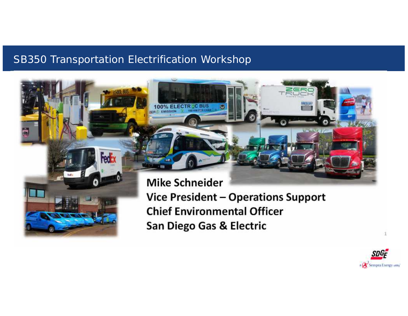## SB350 Transportation Electrification Workshop



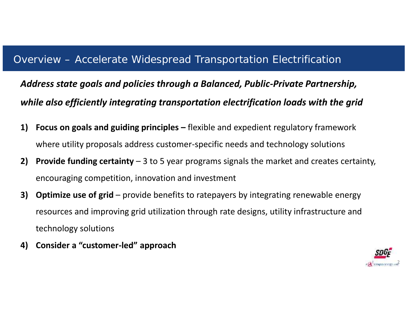## Overview – Accelerate Widespread Transportation Electrification

*Address state goals and policies through a Balanced, Public-Private Partnership, while also efficiently integrating transportation electrification loads with the grid*

- **1) Focus on goals and guiding principles –** flexible and expedient regulatory framework where utility proposals address customer-specific needs and technology solutions
- **2) Provide funding certainty** 3 to 5 year programs signals the market and creates certainty, encouraging competition, innovation and investment
- **3) Optimize use of grid** provide benefits to ratepayers by integrating renewable energy resources and improving grid utilization through rate designs, utility infrastructure and technology solutions
- **4) Consider a "customer-led" approach**

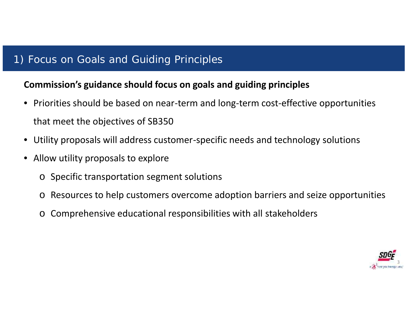# 1) Focus on Goals and Guiding Principles

## **Commission's guidance should focus on goals and guiding principles**

- Priorities should be based on near-term and long-term cost-effective opportunities that meet the objectives of SB350
- Utility proposals will address customer-specific needs and technology solutions
- Allow utility proposals to explore
	- o Specific transportation segment solutions
	- o Resources to help customers overcome adoption barriers and seize opportunities
	- o Comprehensive educational responsibilities with all stakeholders

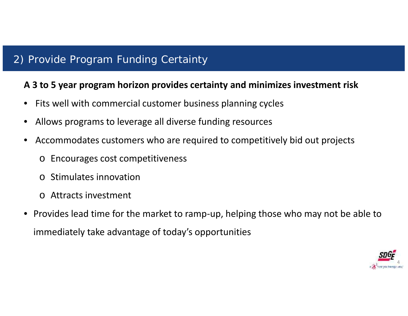# 2) Provide Program Funding Certainty

#### **A 3 to 5 year program horizon provides certainty and minimizes investment risk**

- Fits well with commercial customer business planning cycles
- Allows programs to leverage all diverse funding resources
- Accommodates customers who are required to competitively bid out projects
	- o Encourages cost competitiveness
	- o Stimulates innovation
	- o Attracts investment
- Provides lead time for the market to ramp-up, helping those who may not be able to immediately take advantage of today's opportunities

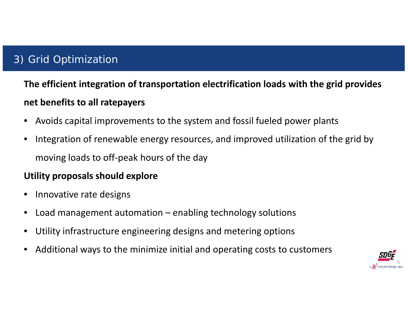# 3) Grid Optimization

**The efficient integration of transportation electrification loads with the grid provides net benefits to all ratepayers**

- Avoids capital improvements to the system and fossil fueled power plants
- Integration of renewable energy resources, and improved utilization of the grid by moving loads to off-peak hours of the day

## **Utility proposals should explore**

- Innovative rate designs
- Load management automation  $-$  enabling technology solutions
- Utility infrastructure engineering designs and metering options
- Additional ways to the minimize initial and operating costs to customers

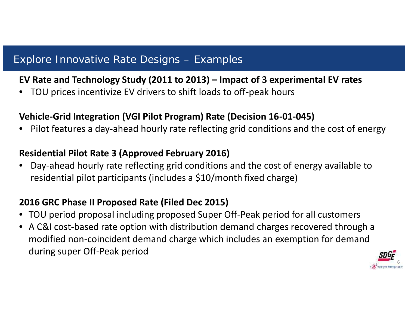## Explore Innovative Rate Designs – Examples

#### **EV Rate and Technology Study (2011 to 2013) – Impact of 3 experimental EV rates**

• TOU prices incentivize EV drivers to shift loads to off-peak hours

#### **Vehicle-Grid Integration (VGI Pilot Program) Rate (Decision 16-01-045)**

• Pilot features a day-ahead hourly rate reflecting grid conditions and the cost of energy

#### **Residential Pilot Rate 3 (Approved February 2016)**

• Day-ahead hourly rate reflecting grid conditions and the cost of energy available to residential pilot participants (includes a \$10/month fixed charge)

## **2016 GRC Phase II Proposed Rate (Filed Dec 2015)**

- TOU period proposal including proposed Super Off-Peak period for all customers
- A C&I cost-based rate option with distribution demand charges recovered through a modified non-coincident demand charge which includes an exemption for demand during super Off-Peak period

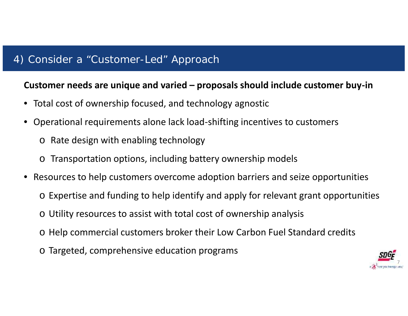## 4) Consider a "Customer-Led" Approach

#### **Customer needs are unique and varied – proposals should include customer buy-in**

- Total cost of ownership focused, and technology agnostic
- Operational requirements alone lack load-shifting incentives to customers
	- o Rate design with enabling technology
	- o Transportation options, including battery ownership models
- Resources to help customers overcome adoption barriers and seize opportunities
	- o Expertise and funding to help identify and apply for relevant grant opportunities
	- o Utility resources to assist with total cost of ownership analysis
	- o Help commercial customers broker their Low Carbon Fuel Standard credits
	- o Targeted, comprehensive education programs